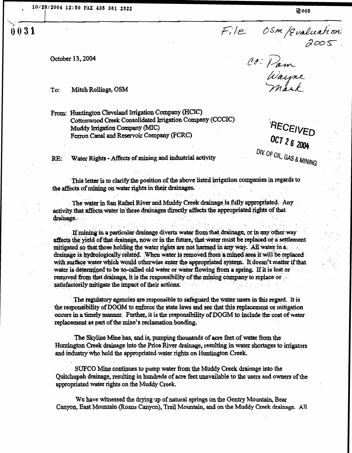$2005$ /Evaluation

CO: Pam<br>Wayne<br>Mark

October 13, 2004

0031

To: Mitch Rollings, OSM

From: Huntington Cleveland Irrigation Company (HCIC) Cottonwood Creek Consolidated Irrigation Company (CCCIC) Muddy Irrigation Company (MIC) Ferron Canal and Reservoir Company (FCRC)

RE: Water Rights - Affects of mining and industrial activity

OCT. OCT 26 2004

OIV. OF OIL, GAS MINING

This letter is to clarify the position of the above listed irrigation companies in regards to the affects of mining on water rights in their drainages.

The water in San Rafael River and Muddy Creek drainage is fully appropriated. Any activity that affects water in these drainages directly affects the appropriated rights of that drainage.

If mining in a particular drainage diverts water from that drainage, or in any other-way affects the yield of that drainage, now or in the future, that water must be replaced or a settlement mitigated so that those holding the water rights are not harmed in any way. All water in a drainage is hydrologically related. When water is removed from a mined area it will be replaced. with surface water which would otherwise enter the appropriated system. It doesn't matter if that water is determined to be so-called old water or water flowing from a spring. If it is lost or removed from that drainage, it is the responsibility of the mining company to replace or satisfactorily mitigate the impact of their actions.

The regulatory agencies are responsible to safeguard the water users in this regard. It is the responsibility of DOOM to enforce the state laws and see that this replacement or mitigation occurs in a timely manner. Further, it is the responsibility of DOGM to include the cost of water replacement as part of the mine's reclamation bonding.

The Skyline Mine has, and is, pumping thousands of acre feet of water from the' Huntington creek drainage into the Price River drainage, resulting in water shortages to irrigators and industry who hold the appropriated water rights on Huntington Creek.

STJFCO Mine continues to pump water from the Muddy Creek drainage into the Quitchupah drainage, resulting in hundreds of acre feet unavailable to the users and owners of the appropriated water rights on the Muddy Creek .

We have witnessed the drying up of natural springs on the Gentry Mountain, Bear Canyon, East Mountain (Roans Canyon), Trail Mountain, and on the Muddy Creek drainage . All